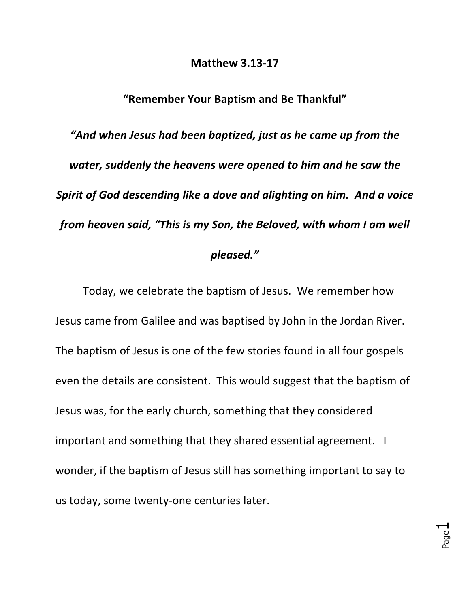## **Matthew 3.13-17**

## **"Remember Your Baptism and Be Thankful"**

*"And when Jesus had been baptized, just as he came up from the*  water, suddenly the heavens were opened to him and he saw the *Spirit of God descending like a dove and alighting on him. And a voice from heaven said, "This is my Son, the Beloved, with whom I am well* 

## *pleased."*

Today, we celebrate the baptism of Jesus. We remember how Jesus came from Galilee and was baptised by John in the Jordan River. The baptism of Jesus is one of the few stories found in all four gospels even the details are consistent. This would suggest that the baptism of Jesus was, for the early church, something that they considered important and something that they shared essential agreement. I wonder, if the baptism of Jesus still has something important to say to us today, some twenty-one centuries later.

> Page  $\overline{\phantom{0}}$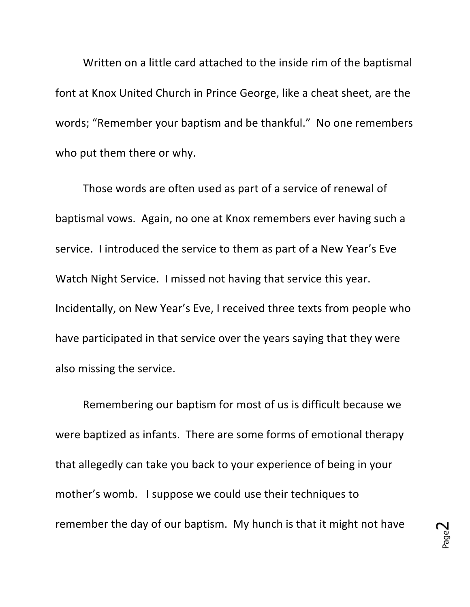Written on a little card attached to the inside rim of the baptismal font at Knox United Church in Prince George, like a cheat sheet, are the words; "Remember your baptism and be thankful." No one remembers who put them there or why.

Those words are often used as part of a service of renewal of baptismal vows. Again, no one at Knox remembers ever having such a service. I introduced the service to them as part of a New Year's Eve Watch Night Service. I missed not having that service this year. Incidentally, on New Year's Eve, I received three texts from people who have participated in that service over the years saying that they were also missing the service.

Remembering our baptism for most of us is difficult because we were baptized as infants. There are some forms of emotional therapy that allegedly can take you back to your experience of being in your mother's womb. I suppose we could use their techniques to remember the day of our baptism. My hunch is that it might not have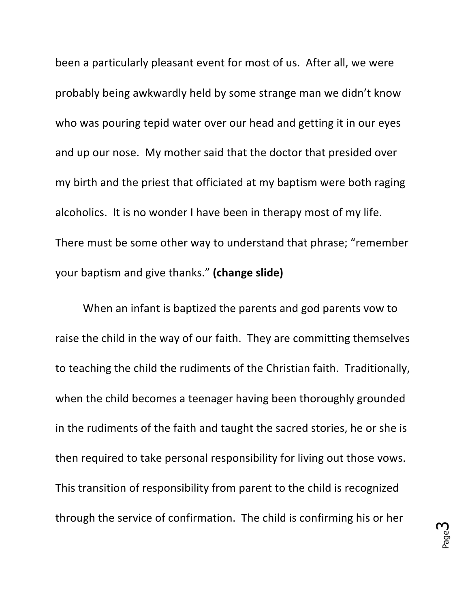been a particularly pleasant event for most of us. After all, we were probably being awkwardly held by some strange man we didn't know who was pouring tepid water over our head and getting it in our eyes and up our nose. My mother said that the doctor that presided over my birth and the priest that officiated at my baptism were both raging alcoholics. It is no wonder I have been in therapy most of my life. There must be some other way to understand that phrase; "remember your baptism and give thanks." (change slide)

When an infant is baptized the parents and god parents yow to raise the child in the way of our faith. They are committing themselves to teaching the child the rudiments of the Christian faith. Traditionally, when the child becomes a teenager having been thoroughly grounded in the rudiments of the faith and taught the sacred stories, he or she is then required to take personal responsibility for living out those vows. This transition of responsibility from parent to the child is recognized through the service of confirmation. The child is confirming his or her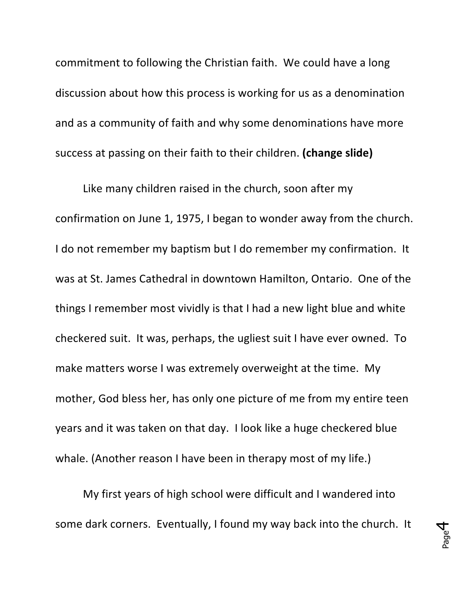commitment to following the Christian faith. We could have a long discussion about how this process is working for us as a denomination and as a community of faith and why some denominations have more success at passing on their faith to their children. (change slide)

Like many children raised in the church, soon after my confirmation on June 1, 1975, I began to wonder away from the church. I do not remember my baptism but I do remember my confirmation. It was at St. James Cathedral in downtown Hamilton, Ontario. One of the things I remember most vividly is that I had a new light blue and white checkered suit. It was, perhaps, the ugliest suit I have ever owned. To make matters worse I was extremely overweight at the time. My mother, God bless her, has only one picture of me from my entire teen years and it was taken on that day. I look like a huge checkered blue whale. (Another reason I have been in therapy most of my life.)

My first years of high school were difficult and I wandered into some dark corners. Eventually, I found my way back into the church. It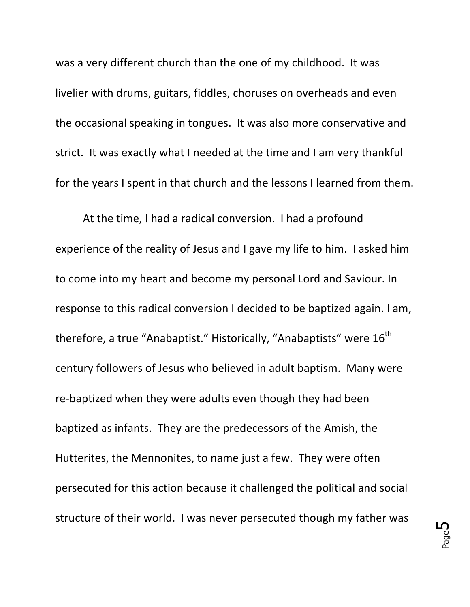was a very different church than the one of my childhood. It was livelier with drums, guitars, fiddles, choruses on overheads and even the occasional speaking in tongues. It was also more conservative and strict. It was exactly what I needed at the time and I am very thankful for the years I spent in that church and the lessons I learned from them.

At the time, I had a radical conversion. I had a profound experience of the reality of Jesus and I gave my life to him. I asked him to come into my heart and become my personal Lord and Saviour. In response to this radical conversion I decided to be baptized again. I am, therefore, a true "Anabaptist." Historically, "Anabaptists" were 16<sup>th</sup> century followers of Jesus who believed in adult baptism. Many were re-baptized when they were adults even though they had been baptized as infants. They are the predecessors of the Amish, the Hutterites, the Mennonites, to name just a few. They were often persecuted for this action because it challenged the political and social structure of their world. I was never persecuted though my father was

Page ഥ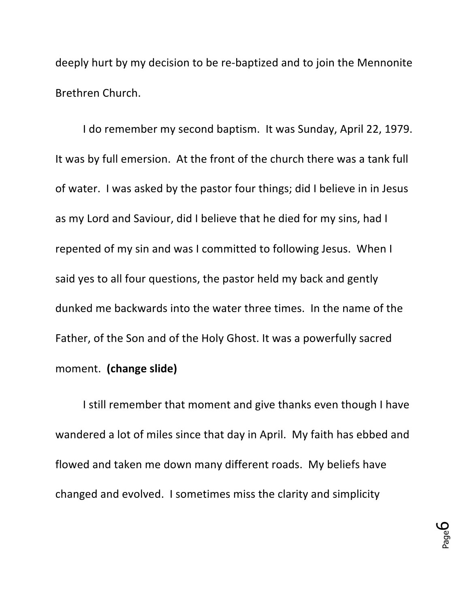deeply hurt by my decision to be re-baptized and to join the Mennonite Brethren Church.

I do remember my second baptism. It was Sunday, April 22, 1979. It was by full emersion. At the front of the church there was a tank full of water. I was asked by the pastor four things; did I believe in in Jesus as my Lord and Saviour, did I believe that he died for my sins, had I repented of my sin and was I committed to following Jesus. When I said yes to all four questions, the pastor held my back and gently dunked me backwards into the water three times. In the name of the Father, of the Son and of the Holy Ghost. It was a powerfully sacred moment. **(change slide)**

I still remember that moment and give thanks even though I have wandered a lot of miles since that day in April. My faith has ebbed and flowed and taken me down many different roads. My beliefs have changed and evolved. I sometimes miss the clarity and simplicity

> Page 6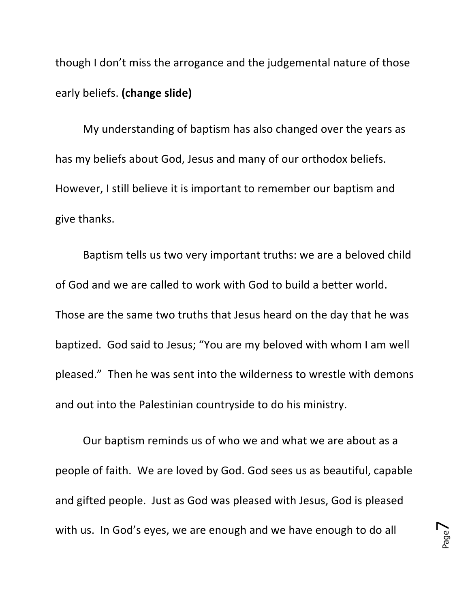though I don't miss the arrogance and the judgemental nature of those early beliefs. **(change slide)**

My understanding of baptism has also changed over the years as has my beliefs about God, Jesus and many of our orthodox beliefs. However, I still believe it is important to remember our baptism and give thanks.

Baptism tells us two very important truths: we are a beloved child of God and we are called to work with God to build a better world. Those are the same two truths that Jesus heard on the day that he was baptized. God said to Jesus; "You are my beloved with whom I am well pleased." Then he was sent into the wilderness to wrestle with demons and out into the Palestinian countryside to do his ministry.

Our baptism reminds us of who we and what we are about as a people of faith. We are loved by God. God sees us as beautiful, capable and gifted people. Just as God was pleased with Jesus, God is pleased with us. In God's eyes, we are enough and we have enough to do all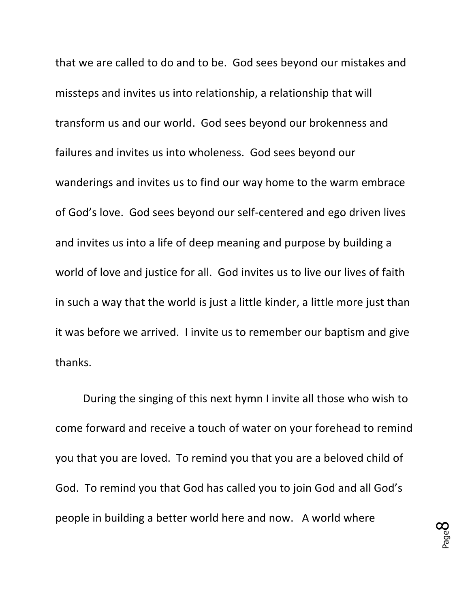that we are called to do and to be. God sees beyond our mistakes and missteps and invites us into relationship, a relationship that will transform us and our world. God sees beyond our brokenness and failures and invites us into wholeness. God sees beyond our wanderings and invites us to find our way home to the warm embrace of God's love. God sees beyond our self-centered and ego driven lives and invites us into a life of deep meaning and purpose by building a world of love and justice for all. God invites us to live our lives of faith in such a way that the world is just a little kinder, a little more just than it was before we arrived. I invite us to remember our baptism and give thanks.

During the singing of this next hymn I invite all those who wish to come forward and receive a touch of water on your forehead to remind you that you are loved. To remind you that you are a beloved child of God. To remind you that God has called you to join God and all God's people in building a better world here and now. A world where